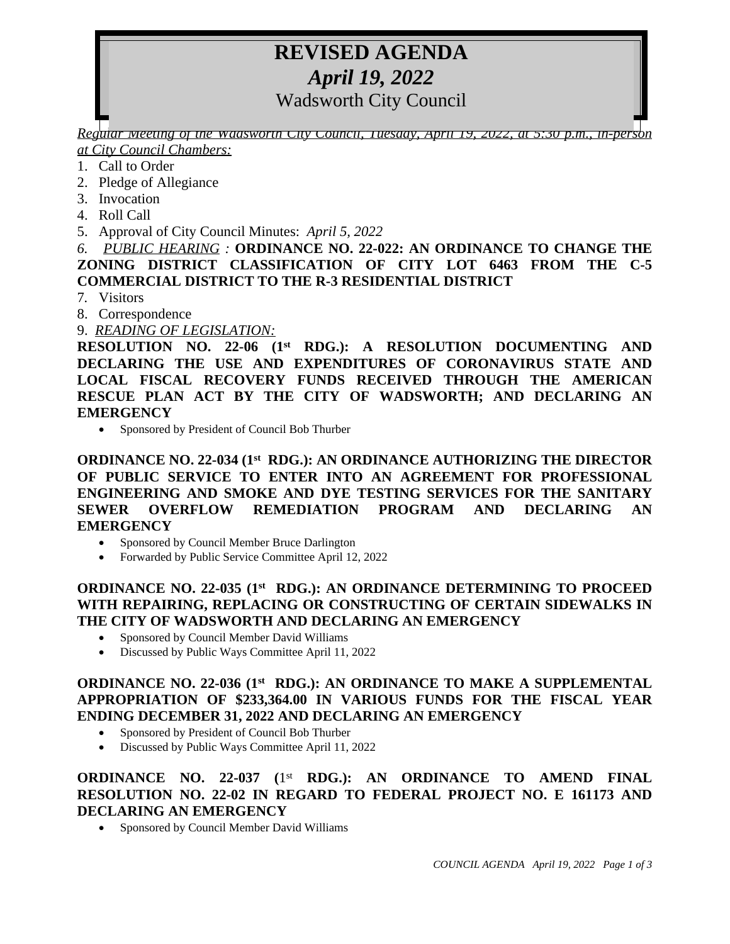# **REVISED AGENDA** *April 19, 2022*

Wadsworth City Council

*Regular Meeting of the Wadsworth City Council, Tuesday, April 19, 2022, at 5:30 p.m., in-person at City Council Chambers:*

- 1. Call to Order
- 2. Pledge of Allegiance
- 3. Invocation
- 4. Roll Call
- 5. Approval of City Council Minutes: *April 5, 2022*

*6. PUBLIC HEARING :* **ORDINANCE NO. 22-022: AN ORDINANCE TO CHANGE THE ZONING DISTRICT CLASSIFICATION OF CITY LOT 6463 FROM THE C-5 COMMERCIAL DISTRICT TO THE R-3 RESIDENTIAL DISTRICT**

- 7*.* Visitors
- 8. Correspondence
- 9. *READING OF LEGISLATION:*

**RESOLUTION NO. 22-06 (1st RDG.): A RESOLUTION DOCUMENTING AND DECLARING THE USE AND EXPENDITURES OF CORONAVIRUS STATE AND LOCAL FISCAL RECOVERY FUNDS RECEIVED THROUGH THE AMERICAN RESCUE PLAN ACT BY THE CITY OF WADSWORTH; AND DECLARING AN EMERGENCY**

Sponsored by President of Council Bob Thurber

## **ORDINANCE NO. 22-034 (1st RDG.): AN ORDINANCE AUTHORIZING THE DIRECTOR OF PUBLIC SERVICE TO ENTER INTO AN AGREEMENT FOR PROFESSIONAL ENGINEERING AND SMOKE AND DYE TESTING SERVICES FOR THE SANITARY SEWER OVERFLOW REMEDIATION PROGRAM AND DECLARING AN EMERGENCY**

- Sponsored by Council Member Bruce Darlington
- Forwarded by Public Service Committee April 12, 2022

# **ORDINANCE NO. 22-035 (1st RDG.): AN ORDINANCE DETERMINING TO PROCEED WITH REPAIRING, REPLACING OR CONSTRUCTING OF CERTAIN SIDEWALKS IN THE CITY OF WADSWORTH AND DECLARING AN EMERGENCY**

- Sponsored by Council Member David Williams
- Discussed by Public Ways Committee April 11, 2022

## **ORDINANCE NO. 22-036 (1st RDG.): AN ORDINANCE TO MAKE A SUPPLEMENTAL APPROPRIATION OF \$233,364.00 IN VARIOUS FUNDS FOR THE FISCAL YEAR ENDING DECEMBER 31, 2022 AND DECLARING AN EMERGENCY**

- Sponsored by President of Council Bob Thurber
- Discussed by Public Ways Committee April 11, 2022

# **ORDINANCE NO. 22-037 (**1 st **RDG.): AN ORDINANCE TO AMEND FINAL RESOLUTION NO. 22-02 IN REGARD TO FEDERAL PROJECT NO. E 161173 AND DECLARING AN EMERGENCY**

Sponsored by Council Member David Williams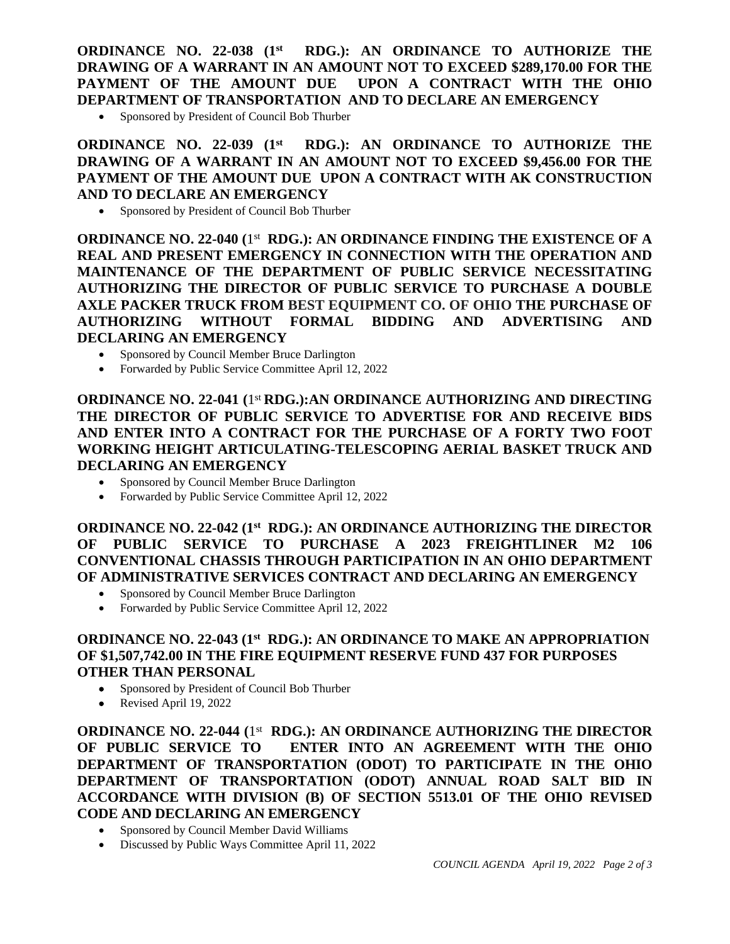## **ORDINANCE NO. 22-038 (1st RDG.): AN ORDINANCE TO AUTHORIZE THE DRAWING OF A WARRANT IN AN AMOUNT NOT TO EXCEED \$289,170.00 FOR THE PAYMENT OF THE AMOUNT DUE UPON A CONTRACT WITH THE OHIO DEPARTMENT OF TRANSPORTATION AND TO DECLARE AN EMERGENCY**

Sponsored by President of Council Bob Thurber

## **ORDINANCE NO. 22-039 (1st RDG.): AN ORDINANCE TO AUTHORIZE THE DRAWING OF A WARRANT IN AN AMOUNT NOT TO EXCEED \$9,456.00 FOR THE PAYMENT OF THE AMOUNT DUE UPON A CONTRACT WITH AK CONSTRUCTION AND TO DECLARE AN EMERGENCY**

Sponsored by President of Council Bob Thurber

**ORDINANCE NO. 22-040 (**1 st **RDG.): AN ORDINANCE FINDING THE EXISTENCE OF A REAL AND PRESENT EMERGENCY IN CONNECTION WITH THE OPERATION AND MAINTENANCE OF THE DEPARTMENT OF PUBLIC SERVICE NECESSITATING AUTHORIZING THE DIRECTOR OF PUBLIC SERVICE TO PURCHASE A DOUBLE AXLE PACKER TRUCK FROM BEST EQUIPMENT CO. OF OHIO THE PURCHASE OF AUTHORIZING WITHOUT FORMAL BIDDING AND ADVERTISING AND DECLARING AN EMERGENCY**

- Sponsored by Council Member Bruce Darlington
- Forwarded by Public Service Committee April 12, 2022

**ORDINANCE NO. 22-041 (**1 st **RDG.):AN ORDINANCE AUTHORIZING AND DIRECTING THE DIRECTOR OF PUBLIC SERVICE TO ADVERTISE FOR AND RECEIVE BIDS AND ENTER INTO A CONTRACT FOR THE PURCHASE OF A FORTY TWO FOOT WORKING HEIGHT ARTICULATING-TELESCOPING AERIAL BASKET TRUCK AND DECLARING AN EMERGENCY** 

- Sponsored by Council Member Bruce Darlington
- Forwarded by Public Service Committee April 12, 2022

**ORDINANCE NO. 22-042 (1st RDG.): AN ORDINANCE AUTHORIZING THE DIRECTOR OF PUBLIC SERVICE TO PURCHASE A 2023 FREIGHTLINER M2 106 CONVENTIONAL CHASSIS THROUGH PARTICIPATION IN AN OHIO DEPARTMENT OF ADMINISTRATIVE SERVICES CONTRACT AND DECLARING AN EMERGENCY** 

- Sponsored by Council Member Bruce Darlington
- Forwarded by Public Service Committee April 12, 2022

## **ORDINANCE NO. 22-043 (1 st RDG.): AN ORDINANCE TO MAKE AN APPROPRIATION OF \$1,507,742.00 IN THE FIRE EQUIPMENT RESERVE FUND 437 FOR PURPOSES OTHER THAN PERSONAL**

- Sponsored by President of Council Bob Thurber
- Revised April 19, 2022

**ORDINANCE NO. 22-044 (**1 st **RDG.): AN ORDINANCE AUTHORIZING THE DIRECTOR OF PUBLIC SERVICE TO ENTER INTO AN AGREEMENT WITH THE OHIO DEPARTMENT OF TRANSPORTATION (ODOT) TO PARTICIPATE IN THE OHIO DEPARTMENT OF TRANSPORTATION (ODOT) ANNUAL ROAD SALT BID IN ACCORDANCE WITH DIVISION (B) OF SECTION 5513.01 OF THE OHIO REVISED CODE AND DECLARING AN EMERGENCY**

- Sponsored by Council Member David Williams
- Discussed by Public Ways Committee April 11, 2022